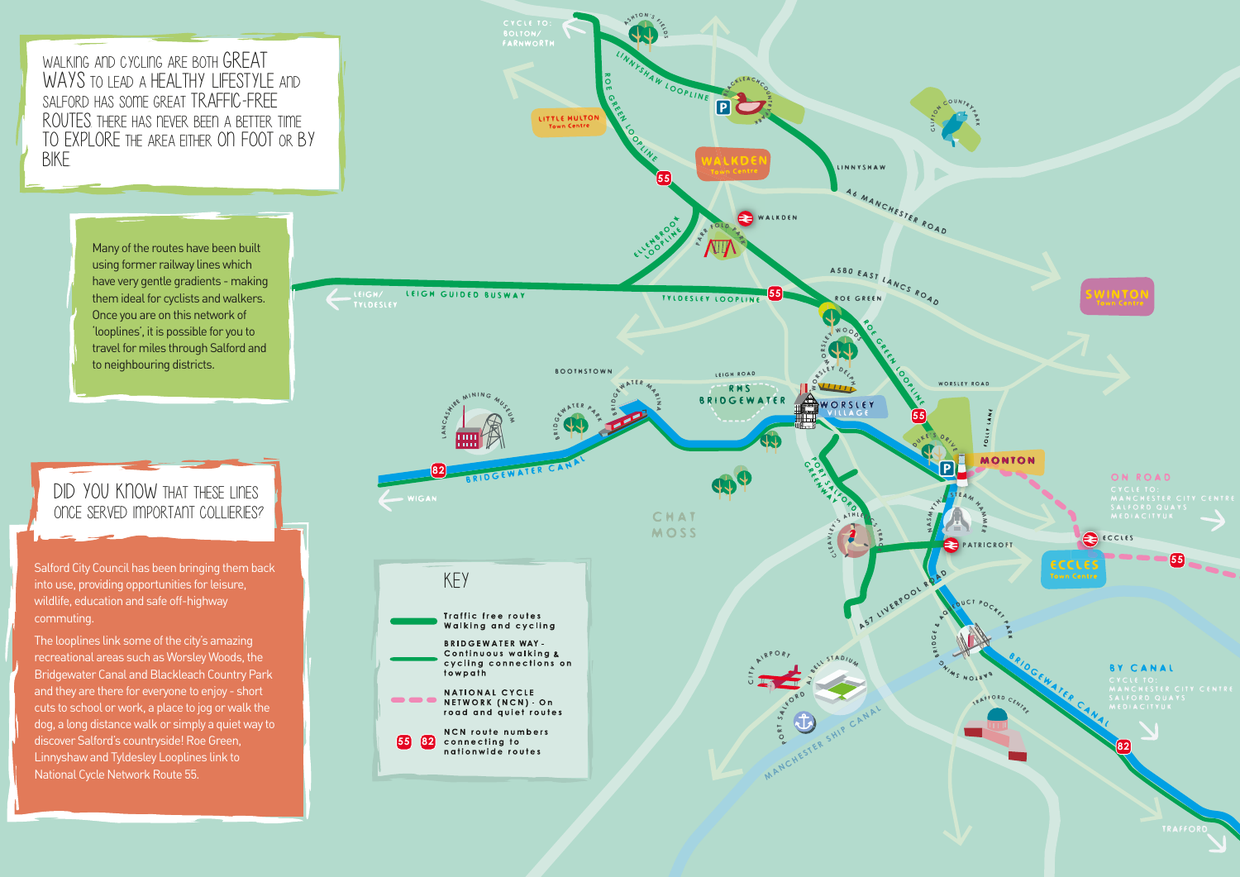

Walking and cycling are both great WAYS TO LEAD A HEALTHY LIFESTYLE AND Salford has some great traffic-free routes . There has never been a better time to explore the area either on foot or by bike .

### DID YOU KNOW THAT THESE LINES once served important collieries?

Many of the routes have been built using former railway lines which have very gentle gradients - making them ideal for cyclists and walkers. Once you are on this network of 'looplines', it is possible for you to travel for miles through Salford and to neighbouring districts.

Salford City Council has been bringing them back into use, providing opportunities for leisure, wildlife, education and safe off-highway commuting.

The looplines link some of the city's amazing recreational areas such as Worsley Woods, the Bridgewater Canal and Blackleach Country Park and they are there for everyone to enjoy - short cuts to school or work, a place to jog or walk the dog, a long distance walk or simply a quiet way to discover Salford's countryside! Roe Green, Linnyshaw and Tyldesley Looplines link to National Cycle Network Route 55.